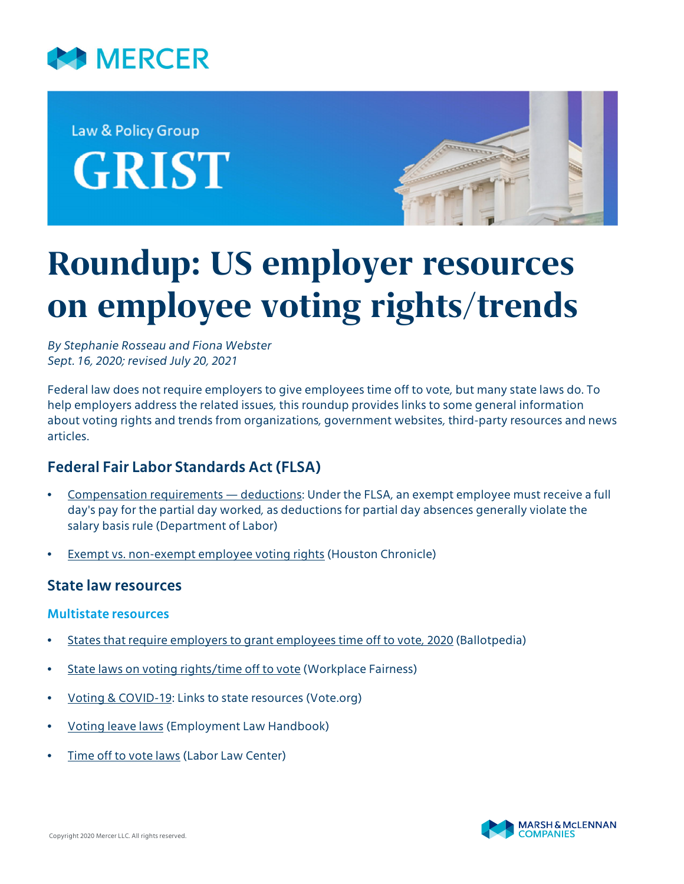

Law & Policy Group **GRIST** 



# **Roundup: US employer resources on employee voting rights/trends**

*By Stephanie Rosseau and Fiona Webster Sept. 16, 2020; revised July 20, 2021*

Federal law does not require employers to give employees time off to vote, but many state laws do. To help employers address the related issues, this roundup provides links to some general information about voting rights and trends from organizations, government websites, third-party resources and news articles.

## **Federal Fair Labor Standards Act (FLSA)**

- [Compensation requirements deductions](https://webapps.dol.gov/elaws/whd/flsa/overtime/cr4.htm#:~:text=Deductions%20for%20partial%20day%20absences,Family%20and%20Medical%20Leave%20Act.&text=The%20exempt%20employee%20must%20receive,for%20the%20partial%20day%20worked.): Under the FLSA, an exempt employee must receive a full day's pay for the partial day worked, as deductions for partial day absences generally violate the salary basis rule (Department of Labor)
- [Exempt vs. non-exempt employee voting rights](https://smallbusiness.chron.com/exempt-vs-nonexempt-employee-voting-rights-17412.html) (Houston Chronicle)

## **State law resources**

#### **Multistate resources**

- [States that require employers to grant employees time off to vote, 2020](https://ballotpedia.org/States_that_require_employers_to_grant_employees_time_off_to_vote,_2020) (Ballotpedia)
- [State laws on voting rights/time off to vote](https://www.workplacefairness.org/voting-rights-time-off-work) (Workplace Fairness)
- [Voting & COVID-19:](https://www.vote.org/covid-19/) Links to state resources (Vote.org)
- [Voting leave laws](https://www.employmentlawhandbook.com/employment-and-labor-laws/topics/leave-laws/voting-leave/) (Employment Law Handbook)
- [Time off to vote laws](https://www.laborlawcenter.com/media/wysiwyg/pdf/Time%20Off%20To%20Vote%20Labor%20Laws%20&%20Posting%20Requirments.pdf) (Labor Law Center)

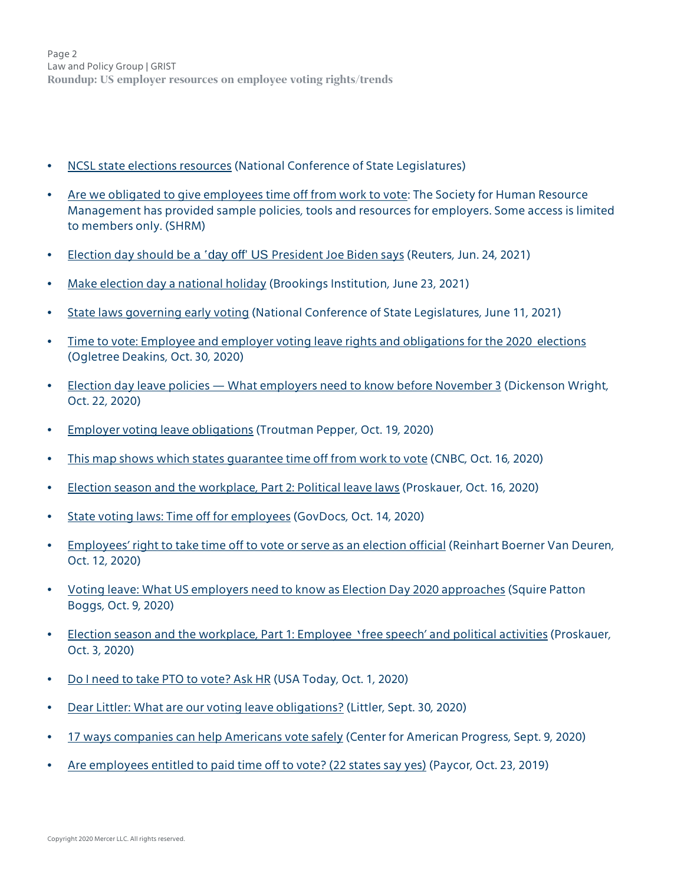Page 2 Law and Policy Group | GRIST **Roundup: US employer resources on employee voting rights/trends**

- [NCSL state elections resources](https://www.ncsl.org/research/elections-and-campaigns/election-laws-and-procedures-overview.aspx) (National Conference of State Legislatures)
- [Are we obligated to give employees time off from work to vote:](https://www.shrm.org/resourcesandtools/tools-and-samples/hr-qa/pages/timeofftovote.aspx) The Society for Human Resource Management has provided sample policies, tools and resources for employers. Some access is limited to members only. (SHRM)
- Election day should be a 'day off' US [President Joe Biden says](https://www.reuters.com/world/us/election-day-should-be-day-off-us-president-joe-biden-says-2021-06-24/) (Reuters, Jun. 24, 2021)
- [Make election day a national holiday](https://www.brookings.edu/blog/fixgov/2021/06/23/make-election-day-a-national-holiday/) (Brookings Institution, June 23, 2021)
- [State laws governing early voting](https://www.ncsl.org/research/elections-and-campaigns/early-voting-in-state-elections.aspx) (National Conference of State Legislatures, June 11, 2021)
- [Time to vote: Employee and employer voting leave rights and obligations for the 2020 elections](https://ogletree.com/insights/time-to-vote-employee-and-employer-voting-leave-rights-and-obligations-for-the-2020-elections/) (Ogletree Deakins, Oct. 30, 2020)
- [Election day leave policies What employers need to know before November 3](http://hr.dickinson-wright.com/2020/10/22/election-day-leave-policies-what-employers-need-to-know-before-november-3/?utm_source=rss&utm_medium=rss&utm_campaign=election-day-leave-policies-what-employers-need-to-know-before-november-3) (Dickenson Wright, Oct. 22, 2020)
- [Employer voting leave obligations](https://www.hiringtofiring.law/2020/10/19/employer-voting-leave-obligations/) (Troutman Pepper, Oct. 19, 2020)
- [This map shows which states guarantee time off from work to vote](https://www.cnbc.com/2020/10/16/this-map-shows-which-states-guarantee-time-off-from-work-to-vote.html) (CNBC, Oct. 16, 2020)
- [Election season and the workplace, Part 2: Political leave laws](https://www.lawandtheworkplace.com/2020/10/election-season-and-the-workplace-part-2-political-leave-laws/?utm_source=feedburner&utm_medium=feed&utm_campaign=Feed%3A+LawAndTheWorkplace+%28Law+and+the+Workplace%29#page=1) (Proskauer, Oct. 16, 2020)
- [State voting laws: Time off for employees](https://www.govdocs.com/state-voting-laws-time-off-for-employees/) (GovDocs, Oct. 14, 2020)
- [Employees' right to take time off to vote or serve as an election official](https://www.reinhartlaw.com/knowledge/employees-right-to-take-time-off-to-vote-or-serve-as-an-election-official/) (Reinhart Boerner Van Deuren, Oct. 12, 2020)
- [Voting leave: What US employers need to know as Election Day 2020 approaches](https://www.employmentlawworldview.com/voting-leave-what-us-employers-need-to-know-as-election-day-2020-approaches/) (Squire Patton Boggs, Oct. 9, 2020)
- [Election season and the workplace, Part 1: Employee](https://www.lawandtheworkplace.com/2020/10/election-season-and-the-workplace-part-1-employee-free-speech-and-political-activities/) 'free speech' and political activities (Proskauer, Oct. 3, 2020)
- [Do I need to take PTO to vote? Ask HR](https://www.usatoday.com/story/money/business/2020/09/30/do-employees-need-use-paid-time-off-order-vote-ask-hr/3580999001/) (USA Today, Oct. 1, 2020)
- [Dear Littler: What are our voting leave obligations?](https://www.littler.com/publication-press/publication/dear-littler-what-are-our-voting-leave-obligations) (Littler, Sept. 30, 2020)
- [17 ways companies can help Americans vote safely](https://www.americanprogress.org/issues/democracy/reports/2020/09/09/490167/17-ways-companies-can-help-americans-vote-safely/) (Center for American Progress, Sept. 9, 2020)
- [Are employees entitled to paid time off to vote? \(22 states say yes\)](https://www.paycor.com/resource-center/are-employees-entitled-to-paid-time-off-to-vote-22-states-say-yes) (Paycor, Oct. 23, 2019)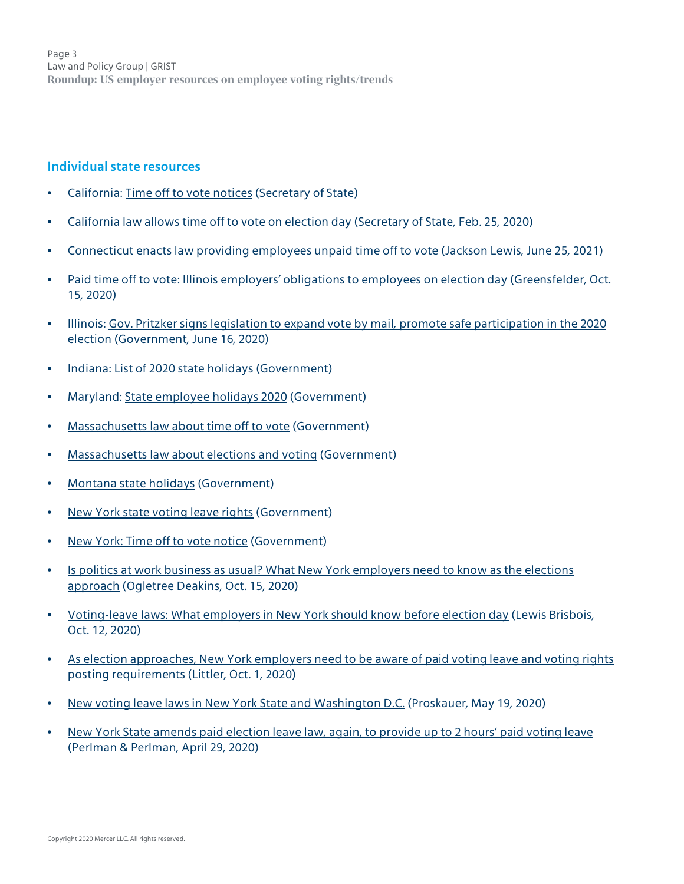Page 3 Law and Policy Group | GRIST **Roundup: US employer resources on employee voting rights/trends**

#### **Individual state resources**

- California: [Time off to vote notices](https://www.sos.ca.gov/elections/time-vote-notices/) (Secretary of State)
- [California law allows time off to vote on election day](https://www.sos.ca.gov/administration/news-releases-and-advisories/2020-news-releases-and-advisories/ap20022-california-law-allows-time-vote-election-day/) (Secretary of State, Feb. 25, 2020)
- [Connecticut enacts law providing employees unpaid time off to vote](https://www.natlawreview.com/article/connecticut-enacts-law-providing-employees-unpaid-time-to-vote) [\(Jackson Lewis,](https://www.disabilityleavelaw.com/2021/06/articles/leave-policies/connecticut-enacts-law-providing-employees-unpaid-time-off-to-vote/) June 25, 2021)
- [Paid time off to vote: Illinois employers' obligations to employees on election day](https://www.greensfelder.com/employment-and-labor-blog/paid-time-off-to-vote-illinois-employers) (Greensfelder, Oct. 15, 2020)
- Illinois: [Gov. Pritzker signs legislation to expand vote by mail, promote safe participation in the 2020](https://www2.illinois.gov/Pages/news-item.aspx?ReleaseID=21690) [election](https://www2.illinois.gov/Pages/news-item.aspx?ReleaseID=21690) (Government, June 16, 2020)
- Indiana: [List of 2020 state holidays](https://www.in.gov/spd/benefits/state-holidays/) (Government)
- Maryland: [State employee holidays 2020](https://msa.maryland.gov/msa/mdmanual/01glance/html/holidaye.html) (Government)
- [Massachusetts law about time off to vote](https://www.mass.gov/info-details/massachusetts-law-about-time-off-to-vote) (Government)
- [Massachusetts law about elections and voting](https://www.mass.gov/info-details/massachusetts-law-about-elections-and-voting) (Government)
- [Montana state holidays](https://www.mtcounties.org/resources-data/montana-state-holidays/) (Government)
- [New York state voting leave rights](https://www.elections.ny.gov/NYSBOE/elections/TimeOffToVoteFAQ.pdf) (Government)
- [New York: Time off to vote notice](https://www.elections.ny.gov/NYSBOE/elections/TimeOffToVoteNotice.pdf) (Government)
- [Is politics at work business as usual? What New York employers need to know as the elections](https://ogletree.com/insights/is-politics-at-work-business-as-usual-what-new-york-employers-need-to-know-as-the-elections-approach/) [approach](https://ogletree.com/insights/is-politics-at-work-business-as-usual-what-new-york-employers-need-to-know-as-the-elections-approach/) (Ogletree Deakins, Oct. 15, 2020)
- [Voting-leave laws: What employers in New York should know before election day](https://lewisbrisbois.com/blog/category/labor-employment/voting-leave-laws-what-employers-in-new-york-should-know-before-election-day) (Lewis Brisbois, Oct. 12, 2020)
- [As election approaches, New York employers need to be aware of paid voting leave and voting rights](https://www.littler.com/publication-press/publication/election-approaches-new-york-employers-need-be-aware-paid-voting-leave) [posting requirements](https://www.littler.com/publication-press/publication/election-approaches-new-york-employers-need-be-aware-paid-voting-leave) (Littler, Oct. 1, 2020)
- [New voting leave laws in New York State and Washington D.C.](https://www.proskauer.com/blog/new-voting-leave-laws-in-new-york-state-and-washington-dc) (Proskauer, May 19, 2020)
- [New York State amends paid election leave law, again, to provide up to 2 hours' paid voting leave](https://www.perlmanandperlman.com/new-york-state-amends-paid-election-leave-law-provide-2-hours-paid-voting-leave/) (Perlman & Perlman, April 29, 2020)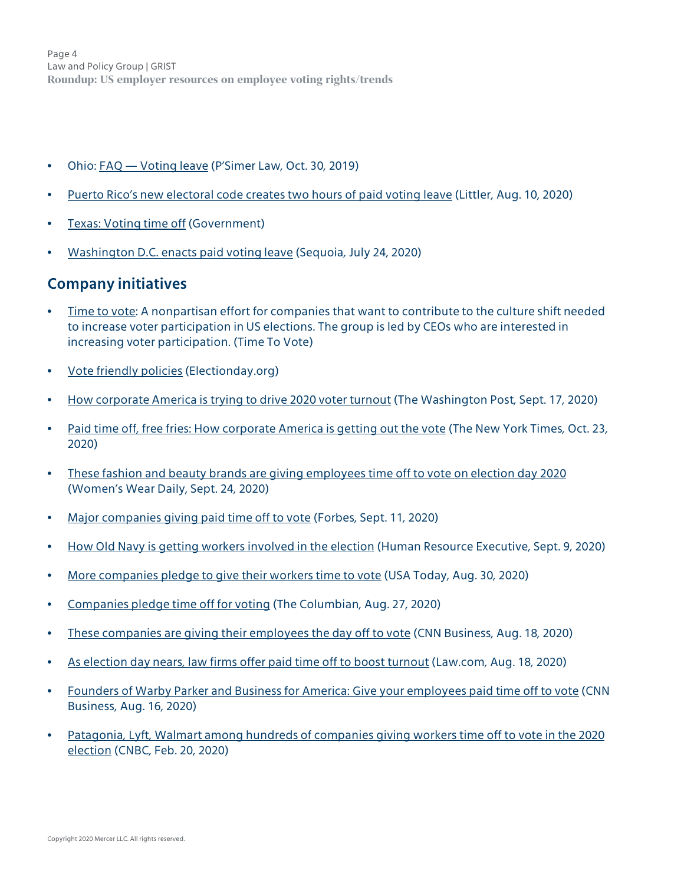Page 4 Law and Policy Group | GRIST **Roundup: US employer resources on employee voting rights/trends**

- Ohio: [FAQ Voting leave](https://www.psimerlaw.com/post/2019/10/30/faq-voting-leave) (P'Simer Law, Oct. 30, 2019)
- [Puerto Rico's new electoral code creates two hours of paid voting leave](https://www.littler.com/publication-press/publication/puerto-ricos-new-electoral-code-creates-two-hours-paid-voting-leave) (Littler, Aug. 10, 2020)
- [Texas: Voting time off](https://www.twc.texas.gov/news/efte/voting_time_off.html) (Government)
- [Washington D.C. enacts paid voting leave](https://www.sequoia.com/2020/07/washington-d-c-enacts-paid-voting-leave/) (Sequoia, July 24, 2020)

## **Company initiatives**

- [Time to vote](https://www.maketimetovote.org/pages/members): A nonpartisan effort for companies that want to contribute to the culture shift needed to increase voter participation in US elections. The group is led by CEOs who are interested in increasing voter participation. (Time To Vote)
- [Vote friendly policies](https://www.electionday.org/vote-friendly-policies) (Electionday.org)
- [How corporate America is trying to drive 2020 voter turnout](https://www.washingtonpost.com/business/2020/09/17/companies-employees-voting-elections/) (The Washington Post, Sept. 17, 2020)
- [Paid time off, free fries: How corporate America is getting out the vote](https://www.nytimes.com/2020/10/23/business/corporate-america-voting-time-off.html) (The New York Times, Oct. 23, 2020)
- [These fashion and beauty brands are giving employees time off to vote on election day 2020](https://wwd.com/fashion-news/fashion-scoops/comapnies-paid-time-off-voting-election-day-2020-1234602541/) (Women's Wear Daily, Sept. 24, 2020)
- [Major companies giving paid time off to vote](https://www.forbes.com/sites/karenrobinsonjacobs/2020/09/11/major-companies-giving-paid-time-off-to-vote-facebook-joins-the-list/#266d1f312f88) (Forbes, Sept. 11, 2020)
- [How Old Navy is getting workers involved in the election](https://hrexecutive.com/how-old-navy-is-getting-workers-involved-in-the-election/?eml=20200911&oly_enc_id=4246A3801612F2X) (Human Resource Executive, Sept. 9, 2020)
- [More companies pledge to give their workers time to vote](https://www.usatoday.com/story/money/2020/08/28/starbucks-walmart-other-companies-pledge-help-workers-vote/5655685002/) (USA Today, Aug. 30, 2020)
- [Companies pledge time off for voting](https://www.columbian.com/news/2020/aug/27/companies-pledge-time-off-for-voting/#:~:text=Walmart%20says%20it%20will%20give%20its%201.5%20million,voting%2C%E2%80%9D%20said%20PayPal%20President%20and%20CEO%20Dan%20Schulman.) (The Columbian, Aug. 27, 2020)
- [These companies are giving their employees the day off to vote](https://www.cnn.com/2020/08/18/business/election-day-2020-day-off/index.html) (CNN Business, Aug. 18, 2020)
- [As election day nears, law firms offer paid time off to boost turnout](https://www.law.com/americanlawyer/2020/08/18/mintz-fenwick-announce-paid-day-off-structures-to-aid-voter-turnout-in-2020-election-will-others-follow/) (Law.com, Aug. 18, 2020)
- [Founders of Warby Parker and Business for America: Give your employees paid time off to vote](https://www.cnn.com/2020/08/16/perspectives/warby-parker-business-for-america-vote/index.html) (CNN Business, Aug. 16, 2020)
- [Patagonia, Lyft, Walmart among hundreds of companies giving workers time off to vote in the 2020](https://www.cnbc.com/2020/02/20/these-companies-are-giving-workers-time-off-to-vote-in-2020-election.html) [election](https://www.cnbc.com/2020/02/20/these-companies-are-giving-workers-time-off-to-vote-in-2020-election.html) (CNBC, Feb. 20, 2020)